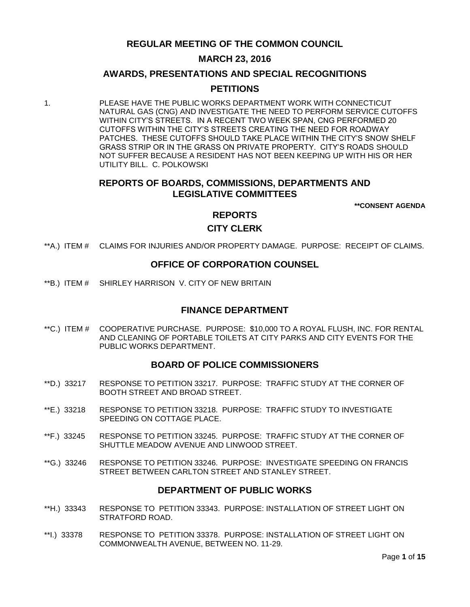**REGULAR MEETING OF THE COMMON COUNCIL**

## **MARCH 23, 2016**

### **AWARDS, PRESENTATIONS AND SPECIAL RECOGNITIONS**

### **PETITIONS**

1. PLEASE HAVE THE PUBLIC WORKS DEPARTMENT WORK WITH CONNECTICUT NATURAL GAS (CNG) AND INVESTIGATE THE NEED TO PERFORM SERVICE CUTOFFS WITHIN CITY'S STREETS. IN A RECENT TWO WEEK SPAN, CNG PERFORMED 20 CUTOFFS WITHIN THE CITY'S STREETS CREATING THE NEED FOR ROADWAY PATCHES. THESE CUTOFFS SHOULD TAKE PLACE WITHIN THE CITY'S SNOW SHELF GRASS STRIP OR IN THE GRASS ON PRIVATE PROPERTY. CITY'S ROADS SHOULD NOT SUFFER BECAUSE A RESIDENT HAS NOT BEEN KEEPING UP WITH HIS OR HER UTILITY BILL. C. POLKOWSKI

### **REPORTS OF BOARDS, COMMISSIONS, DEPARTMENTS AND LEGISLATIVE COMMITTEES**

**\*\*CONSENT AGENDA**

## **REPORTS**

## **CITY CLERK**

\*\*A.) ITEM # [CLAIMS FOR INJURIES AND/OR PROPERTY DAMAGE. PURPOSE: RECEIPT OF CLAIMS.](#page-3-0)

### **OFFICE OF CORPORATION COUNSEL**

\*\*B.) ITEM # [SHIRLEY HARRISON V. CITY OF NEW BRITAIN](#page-3-1)

### **FINANCE DEPARTMENT**

\*\*C.) ITEM # [COOPERATIVE PURCHASE. PURPOSE: \\$10,000 TO A ROYAL FLUSH, INC. FOR RENTAL](#page-4-0)  [AND CLEANING OF PORTABLE TOILETS AT CITY PARKS AND CITY EVENTS FOR THE](#page-4-0)  [PUBLIC WORKS DEPARTMENT.](#page-4-0)

### **BOARD OF POLICE COMMISSIONERS**

- \*\*D.) 33217 [RESPONSE TO PETITION 33217. PURPOSE: TRAFFIC STUDY AT THE CORNER OF](#page-5-0)  [BOOTH STREET AND BROAD STREET.](#page-5-0)
- \*\*E.) 33218 [RESPONSE TO PETITION 33218. PURPOSE: TRAFFIC STUDY TO INVESTIGATE](#page-5-1)  [SPEEDING ON COTTAGE PLACE.](#page-5-1)
- \*\*F.) 33245 [RESPONSE TO PETITION 33245. PURPOSE: TRAFFIC STUDY AT THE CORNER OF](#page-6-0)  [SHUTTLE MEADOW AVENUE AND LINWOOD STREET.](#page-6-0)
- \*\*G.) 33246 [RESPONSE TO PETITION 33246. PURPOSE: INVESTIGATE SPEEDING ON FRANCIS](#page-6-1)  [STREET BETWEEN CARLTON STREET AND STANLEY STREET.](#page-6-1)

### **DEPARTMENT OF PUBLIC WORKS**

- \*\*H.) 33343 [RESPONSE TO PETITION 33343. PURPOSE: INSTALLATION OF STREET LIGHT ON](#page-7-0)  [STRATFORD ROAD.](#page-7-0)
- \*\*I.) 33378 [RESPONSE TO PETITION 33378. PURPOSE: INSTALLATION OF STREET LIGHT ON](#page-7-1)  [COMMONWEALTH AVENUE, BETWEEN NO. 11-29.](#page-7-1)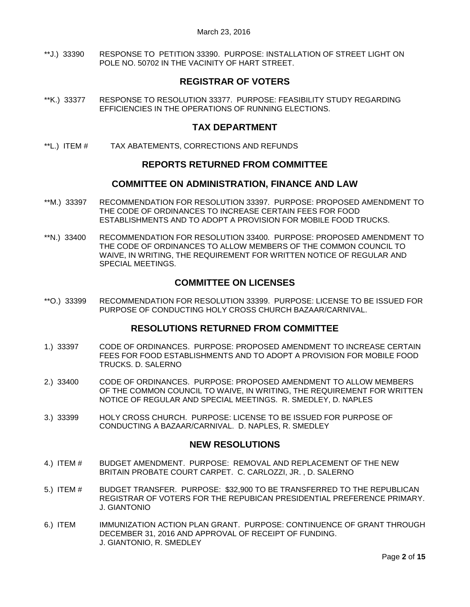\*\*J.) 33390 [RESPONSE TO PETITION 33390. PURPOSE: INSTALLATION OF STREET LIGHT ON](#page-7-2)  [POLE NO. 50702 IN THE VACINITY OF HART STREET.](#page-7-2)

## **REGISTRAR OF VOTERS**

\*\*K.) 33377 [RESPONSE TO RESOLUTION 33377. PURPOSE: FEASIBILITY STUDY REGARDING](#page-8-0)  [EFFICIENCIES IN THE OPERATIONS OF RUNNING ELECTIONS.](#page-8-0)

## **TAX DEPARTMENT**

\*\*L.) ITEM # [TAX ABATEMENTS, CORRECTIONS AND REFUNDS](#page-8-1)

### **REPORTS RETURNED FROM COMMITTEE**

### **COMMITTEE ON ADMINISTRATION, FINANCE AND LAW**

- \*\*M.) 33397 [RECOMMENDATION FOR RESOLUTION 33397. PURPOSE: PROPOSED AMENDMENT TO](#page-8-2)  [THE CODE OF ORDINANCES TO INCREASE CERTAIN FEES FOR FOOD](#page-8-2)  [ESTABLISHMENTS AND TO ADOPT A PROVISION FOR MOBILE FOOD TRUCKS.](#page-8-2)
- \*\*N.) 33400 [RECOMMENDATION FOR RESOLUTION 33400. PURPOSE: PROPOSED AMENDMENT TO](#page-8-3)  [THE CODE OF ORDINANCES TO ALLOW MEMBERS OF THE COMMON COUNCIL TO](#page-8-3)  [WAIVE, IN WRITING, THE REQUIREMENT FOR WRITTEN NOTICE OF REGULAR AND](#page-8-3)  [SPECIAL MEETINGS.](#page-8-3)

## **COMMITTEE ON LICENSES**

\*\*O.) 33399 [RECOMMENDATION FOR RESOLUTION 33399. PURPOSE: LICENSE TO BE ISSUED FOR](#page-9-0)  [PURPOSE OF CONDUCTING HOLY CROSS CHURCH BAZAAR/CARNIVAL.](#page-9-0) 

### **RESOLUTIONS RETURNED FROM COMMITTEE**

- 1.) 33397 [CODE OF ORDINANCES. PURPOSE: PROPOSED AMENDMENT TO INCREASE CERTAIN](#page-9-1)  [FEES FOR FOOD ESTABLISHMENTS AND TO ADOPT A PROVISION FOR MOBILE FOOD](#page-9-1)  TRUCKS. [D. SALERNO](#page-9-1)
- 2.) 33400 [CODE OF ORDINANCES. PURPOSE: PROPOSED AMENDMENT TO ALLOW MEMBERS](#page-9-2)  [OF THE COMMON COUNCIL TO WAIVE, IN WRITING, THE REQUIREMENT FOR WRITTEN](#page-9-2)  [NOTICE OF REGULAR AND SPECIAL MEETINGS. R. SMEDLEY, D. NAPLES](#page-9-2)
- 3.) 33399 [HOLY CROSS CHURCH. PURPOSE: LICENSE TO BE ISSUED FOR PURPOSE OF](#page-9-3)  [CONDUCTING A BAZAAR/CARNIVAL. D. NAPLES, R. SMEDLEY](#page-9-3)

### **NEW RESOLUTIONS**

- 4.) ITEM # [BUDGET AMENDMENT. PURPOSE: REMOVAL AND REPLACEMENT OF THE NEW](#page-9-4)  [BRITAIN PROBATE COURT CARPET. C. CARLOZZI, JR. , D. SALERNO](#page-9-4)
- 5.) ITEM # [BUDGET TRANSFER. PURPOSE: \\$32,900 TO BE TRANSFERRED TO THE](#page-10-0) REPUBLICAN REGISTRAR OF VOTERS [FOR THE REPUBICAN PRESIDENTIAL PREFERENCE PRIMARY.](#page-10-0)  [J. GIANTONIO](#page-10-0)
- 6.) ITEM [IMMUNIZATION ACTION PLAN GRANT. PURPOSE: CONTINUENCE OF GRANT THROUGH](#page-11-0)  [DECEMBER 31, 2016 AND APPROVAL OF RECEIPT OF FUNDING.](#page-11-0)  [J. GIANTONIO, R. SMEDLEY](#page-11-0)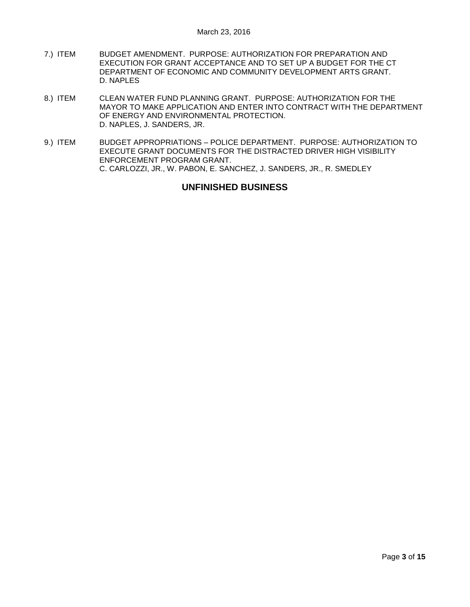- 7.) ITEM [BUDGET AMENDMENT. PURPOSE: AUTHORIZATION FOR PREPARATION AND](#page-12-0)  [EXECUTION FOR GRANT ACCEPTANCE AND TO SET UP A BUDGET FOR THE CT](#page-12-0)  [DEPARTMENT OF ECONOMIC AND COMMUNITY DEVELOPMENT ARTS GRANT.](#page-12-0)  [D. NAPLES](#page-12-0)
- 8.) ITEM [CLEAN WATER FUND PLANNING GRANT. PURPOSE: AUTHORIZATION FOR THE](#page-12-1)  [MAYOR TO MAKE APPLICATION AND ENTER INTO CONTRACT WITH THE DEPARTMENT](#page-12-1)  [OF ENERGY AND ENVIRONMENTAL PROTECTION.](#page-12-1)  [D. NAPLES, J. SANDERS, JR.](#page-12-1)
- 9.) ITEM BUDGET APPROPRIATIONS [POLICE DEPARTMENT. PURPOSE: AUTHORIZATION TO](#page-13-0)  [EXECUTE GRANT DOCUMENTS FOR THE DISTRACTED DRIVER HIGH VISIBILITY](#page-13-0)  [ENFORCEMENT PROGRAM GRANT.](#page-13-0)  [C. CARLOZZI, JR., W. PABON, E. SANCHEZ, J. SANDERS, JR., R. SMEDLEY](#page-13-0)

## **UNFINISHED BUSINESS**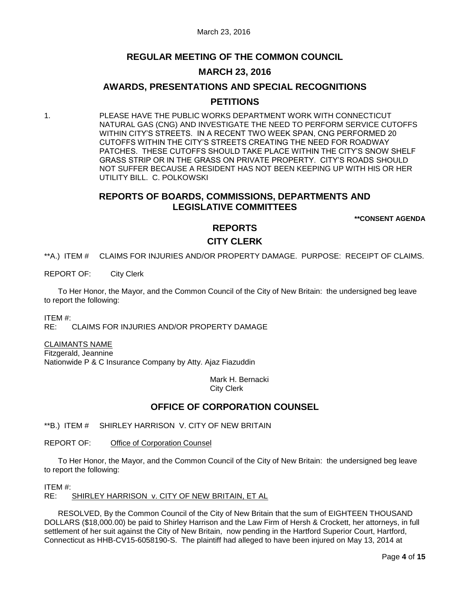## **REGULAR MEETING OF THE COMMON COUNCIL**

## **MARCH 23, 2016**

# **AWARDS, PRESENTATIONS AND SPECIAL RECOGNITIONS PETITIONS**

1. PLEASE HAVE THE PUBLIC WORKS DEPARTMENT WORK WITH CONNECTICUT NATURAL GAS (CNG) AND INVESTIGATE THE NEED TO PERFORM SERVICE CUTOFFS WITHIN CITY'S STREETS. IN A RECENT TWO WEEK SPAN, CNG PERFORMED 20 CUTOFFS WITHIN THE CITY'S STREETS CREATING THE NEED FOR ROADWAY PATCHES. THESE CUTOFFS SHOULD TAKE PLACE WITHIN THE CITY'S SNOW SHELF GRASS STRIP OR IN THE GRASS ON PRIVATE PROPERTY. CITY'S ROADS SHOULD NOT SUFFER BECAUSE A RESIDENT HAS NOT BEEN KEEPING UP WITH HIS OR HER UTILITY BILL. C. POLKOWSKI

## **REPORTS OF BOARDS, COMMISSIONS, DEPARTMENTS AND LEGISLATIVE COMMITTEES**

**\*\*CONSENT AGENDA**

## **REPORTS**

### **CITY CLERK**

<span id="page-3-0"></span>\*\*A.) ITEM # CLAIMS FOR INJURIES AND/OR PROPERTY DAMAGE. PURPOSE: RECEIPT OF CLAIMS.

REPORT OF: City Clerk

To Her Honor, the Mayor, and the Common Council of the City of New Britain: the undersigned beg leave to report the following:

ITEM #:

RE: CLAIMS FOR INJURIES AND/OR PROPERTY DAMAGE

CLAIMANTS NAME Fitzgerald, Jeannine Nationwide P & C Insurance Company by Atty. Ajaz Fiazuddin

> Mark H. Bernacki City Clerk

## **OFFICE OF CORPORATION COUNSEL**

<span id="page-3-1"></span>\*\*B.) ITEM # SHIRLEY HARRISON V. CITY OF NEW BRITAIN

REPORT OF: Office of Corporation Counsel

To Her Honor, the Mayor, and the Common Council of the City of New Britain: the undersigned beg leave to report the following:

ITEM #:

RE: SHIRLEY HARRISON v. CITY OF NEW BRITAIN, ET AL

RESOLVED, By the Common Council of the City of New Britain that the sum of EIGHTEEN THOUSAND DOLLARS (\$18,000.00) be paid to Shirley Harrison and the Law Firm of Hersh & Crockett, her attorneys, in full settlement of her suit against the City of New Britain, now pending in the Hartford Superior Court, Hartford, Connecticut as HHB-CV15-6058190-S. The plaintiff had alleged to have been injured on May 13, 2014 at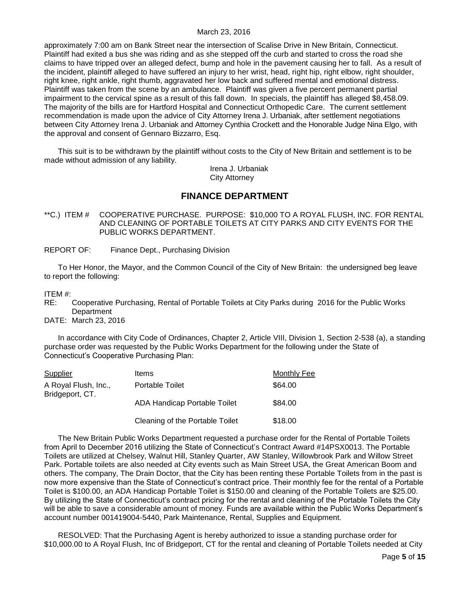approximately 7:00 am on Bank Street near the intersection of Scalise Drive in New Britain, Connecticut. Plaintiff had exited a bus she was riding and as she stepped off the curb and started to cross the road she claims to have tripped over an alleged defect, bump and hole in the pavement causing her to fall. As a result of the incident, plaintiff alleged to have suffered an injury to her wrist, head, right hip, right elbow, right shoulder, right knee, right ankle, right thumb, aggravated her low back and suffered mental and emotional distress. Plaintiff was taken from the scene by an ambulance. Plaintiff was given a five percent permanent partial impairment to the cervical spine as a result of this fall down. In specials, the plaintiff has alleged \$8,458.09. The majority of the bills are for Hartford Hospital and Connecticut Orthopedic Care. The current settlement recommendation is made upon the advice of City Attorney Irena J. Urbaniak, after settlement negotiations between City Attorney Irena J. Urbaniak and Attorney Cynthia Crockett and the Honorable Judge Nina Elgo, with the approval and consent of Gennaro Bizzarro, Esq.

This suit is to be withdrawn by the plaintiff without costs to the City of New Britain and settlement is to be made without admission of any liability.

> Irena J. Urbaniak City Attorney

## **FINANCE DEPARTMENT**

- <span id="page-4-0"></span>\*\*C.) ITEM # COOPERATIVE PURCHASE. PURPOSE: \$10,000 TO A ROYAL FLUSH, INC. FOR RENTAL AND CLEANING OF PORTABLE TOILETS AT CITY PARKS AND CITY EVENTS FOR THE PUBLIC WORKS DEPARTMENT.
- REPORT OF: Finance Dept., Purchasing Division

To Her Honor, the Mayor, and the Common Council of the City of New Britain: the undersigned beg leave to report the following:

ITEM #:

RE: Cooperative Purchasing, Rental of Portable Toilets at City Parks during 2016 for the Public Works **Department** 

DATE: March 23, 2016

In accordance with City Code of Ordinances, Chapter 2, Article VIII, Division 1, Section 2-538 (a), a standing purchase order was requested by the Public Works Department for the following under the State of Connecticut's Cooperative Purchasing Plan:

| Supplier                                | <b>Items</b>                        | <b>Monthly Fee</b> |
|-----------------------------------------|-------------------------------------|--------------------|
| A Royal Flush, Inc.,<br>Bridgeport, CT. | <b>Portable Toilet</b>              | \$64.00            |
|                                         | <b>ADA Handicap Portable Toilet</b> | \$84.00            |
|                                         | Cleaning of the Portable Toilet     | \$18.00            |

The New Britain Public Works Department requested a purchase order for the Rental of Portable Toilets from April to December 2016 utilizing the State of Connecticut's Contract Award #14PSX0013. The Portable Toilets are utilized at Chelsey, Walnut Hill, Stanley Quarter, AW Stanley, Willowbrook Park and Willow Street Park. Portable toilets are also needed at City events such as Main Street USA, the Great American Boom and others. The company, The Drain Doctor, that the City has been renting these Portable Toilets from in the past is now more expensive than the State of Connecticut's contract price. Their monthly fee for the rental of a Portable Toilet is \$100.00, an ADA Handicap Portable Toilet is \$150.00 and cleaning of the Portable Toilets are \$25.00. By utilizing the State of Connecticut's contract pricing for the rental and cleaning of the Portable Toilets the City will be able to save a considerable amount of money. Funds are available within the Public Works Department's account number 001419004-5440, Park Maintenance, Rental, Supplies and Equipment.

RESOLVED: That the Purchasing Agent is hereby authorized to issue a standing purchase order for \$10,000.00 to A Royal Flush, Inc of Bridgeport, CT for the rental and cleaning of Portable Toilets needed at City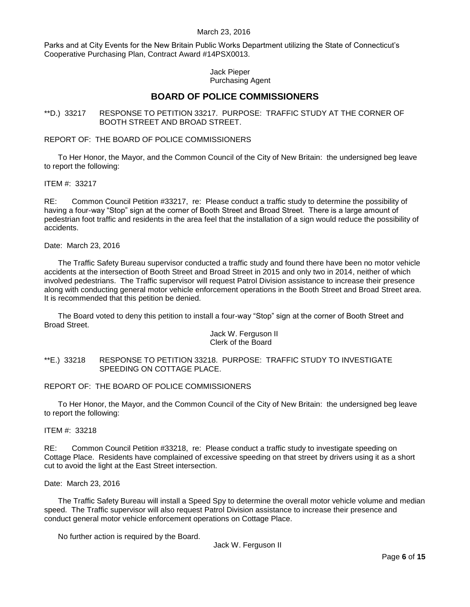Parks and at City Events for the New Britain Public Works Department utilizing the State of Connecticut's Cooperative Purchasing Plan, Contract Award #14PSX0013.

#### Jack Pieper Purchasing Agent

## **BOARD OF POLICE COMMISSIONERS**

<span id="page-5-0"></span>\*\*D.) 33217 RESPONSE TO PETITION 33217. PURPOSE: TRAFFIC STUDY AT THE CORNER OF BOOTH STREET AND BROAD STREET.

#### REPORT OF: THE BOARD OF POLICE COMMISSIONERS

To Her Honor, the Mayor, and the Common Council of the City of New Britain: the undersigned beg leave to report the following:

#### ITEM #: 33217

RE: Common Council Petition #33217, re: Please conduct a traffic study to determine the possibility of having a four-way "Stop" sign at the corner of Booth Street and Broad Street. There is a large amount of pedestrian foot traffic and residents in the area feel that the installation of a sign would reduce the possibility of accidents.

#### Date: March 23, 2016

The Traffic Safety Bureau supervisor conducted a traffic study and found there have been no motor vehicle accidents at the intersection of Booth Street and Broad Street in 2015 and only two in 2014, neither of which involved pedestrians. The Traffic supervisor will request Patrol Division assistance to increase their presence along with conducting general motor vehicle enforcement operations in the Booth Street and Broad Street area. It is recommended that this petition be denied.

The Board voted to deny this petition to install a four-way "Stop" sign at the corner of Booth Street and Broad Street.

#### Jack W. Ferguson II Clerk of the Board

#### <span id="page-5-1"></span>\*\*E.) 33218 RESPONSE TO PETITION 33218. PURPOSE: TRAFFIC STUDY TO INVESTIGATE SPEEDING ON COTTAGE PLACE.

#### REPORT OF: THE BOARD OF POLICE COMMISSIONERS

To Her Honor, the Mayor, and the Common Council of the City of New Britain: the undersigned beg leave to report the following:

#### ITEM #: 33218

RE: Common Council Petition #33218, re: Please conduct a traffic study to investigate speeding on Cottage Place. Residents have complained of excessive speeding on that street by drivers using it as a short cut to avoid the light at the East Street intersection.

#### Date: March 23, 2016

The Traffic Safety Bureau will install a Speed Spy to determine the overall motor vehicle volume and median speed. The Traffic supervisor will also request Patrol Division assistance to increase their presence and conduct general motor vehicle enforcement operations on Cottage Place.

No further action is required by the Board.

Jack W. Ferguson II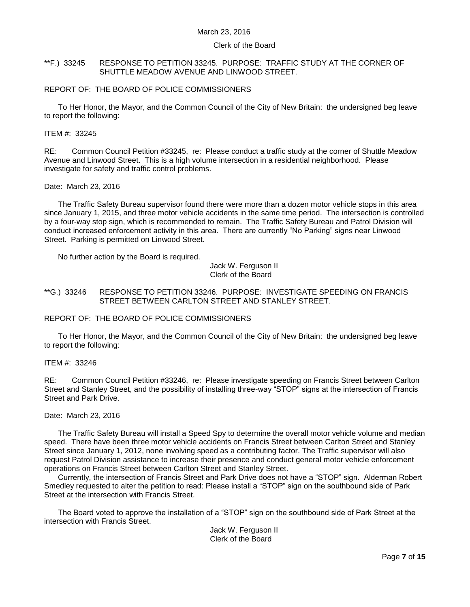#### Clerk of the Board

#### <span id="page-6-0"></span>\*\*F.) 33245 RESPONSE TO PETITION 33245. PURPOSE: TRAFFIC STUDY AT THE CORNER OF SHUTTLE MEADOW AVENUE AND LINWOOD STREET.

#### REPORT OF: THE BOARD OF POLICE COMMISSIONERS

To Her Honor, the Mayor, and the Common Council of the City of New Britain: the undersigned beg leave to report the following:

#### ITEM #: 33245

RE: Common Council Petition #33245, re: Please conduct a traffic study at the corner of Shuttle Meadow Avenue and Linwood Street. This is a high volume intersection in a residential neighborhood. Please investigate for safety and traffic control problems.

#### Date: March 23, 2016

The Traffic Safety Bureau supervisor found there were more than a dozen motor vehicle stops in this area since January 1, 2015, and three motor vehicle accidents in the same time period. The intersection is controlled by a four-way stop sign, which is recommended to remain. The Traffic Safety Bureau and Patrol Division will conduct increased enforcement activity in this area. There are currently "No Parking" signs near Linwood Street. Parking is permitted on Linwood Street.

No further action by the Board is required.

Jack W. Ferguson II Clerk of the Board

<span id="page-6-1"></span>\*\*G.) 33246 RESPONSE TO PETITION 33246. PURPOSE: INVESTIGATE SPEEDING ON FRANCIS STREET BETWEEN CARLTON STREET AND STANLEY STREET.

REPORT OF: THE BOARD OF POLICE COMMISSIONERS

To Her Honor, the Mayor, and the Common Council of the City of New Britain: the undersigned beg leave to report the following:

ITEM #: 33246

RE: Common Council Petition #33246, re: Please investigate speeding on Francis Street between Carlton Street and Stanley Street, and the possibility of installing three-way "STOP" signs at the intersection of Francis Street and Park Drive.

#### Date: March 23, 2016

The Traffic Safety Bureau will install a Speed Spy to determine the overall motor vehicle volume and median speed. There have been three motor vehicle accidents on Francis Street between Carlton Street and Stanley Street since January 1, 2012, none involving speed as a contributing factor. The Traffic supervisor will also request Patrol Division assistance to increase their presence and conduct general motor vehicle enforcement operations on Francis Street between Carlton Street and Stanley Street.

Currently, the intersection of Francis Street and Park Drive does not have a "STOP" sign. Alderman Robert Smedley requested to alter the petition to read: Please install a "STOP" sign on the southbound side of Park Street at the intersection with Francis Street.

The Board voted to approve the installation of a "STOP" sign on the southbound side of Park Street at the intersection with Francis Street.

Jack W. Ferguson II Clerk of the Board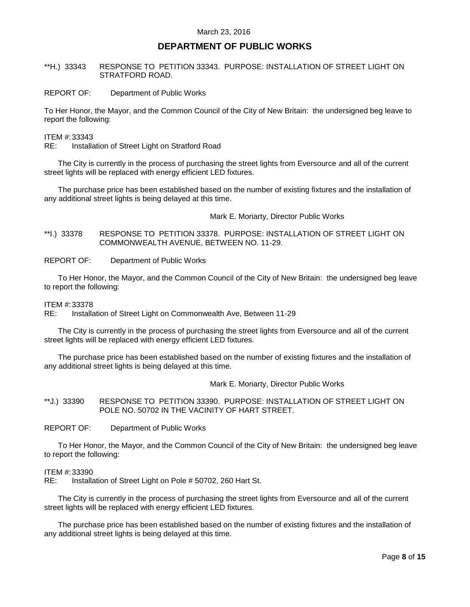## **DEPARTMENT OF PUBLIC WORKS**

#### <span id="page-7-0"></span>\*\*H.) 33343 RESPONSE TO PETITION 33343. PURPOSE: INSTALLATION OF STREET LIGHT ON STRATFORD ROAD.

REPORT OF: Department of Public Works

To Her Honor, the Mayor, and the Common Council of the City of New Britain: the undersigned beg leave to report the following:

ITEM #:33343

RE: Installation of Street Light on Stratford Road

The City is currently in the process of purchasing the street lights from Eversource and all of the current street lights will be replaced with energy efficient LED fixtures.

The purchase price has been established based on the number of existing fixtures and the installation of any additional street lights is being delayed at this time.

Mark E. Moriarty, Director Public Works

<span id="page-7-1"></span>\*\*I.) 33378 RESPONSE TO PETITION 33378. PURPOSE: INSTALLATION OF STREET LIGHT ON COMMONWEALTH AVENUE, BETWEEN NO. 11-29.

REPORT OF: Department of Public Works

To Her Honor, the Mayor, and the Common Council of the City of New Britain: the undersigned beg leave to report the following:

#### ITEM #:33378

RE: Installation of Street Light on Commonwealth Ave, Between 11-29

The City is currently in the process of purchasing the street lights from Eversource and all of the current street lights will be replaced with energy efficient LED fixtures.

The purchase price has been established based on the number of existing fixtures and the installation of any additional street lights is being delayed at this time.

Mark E. Moriarty, Director Public Works

<span id="page-7-2"></span>\*\*J.) 33390 RESPONSE TO PETITION 33390. PURPOSE: INSTALLATION OF STREET LIGHT ON POLE NO. 50702 IN THE VACINITY OF HART STREET.

REPORT OF: Department of Public Works

To Her Honor, the Mayor, and the Common Council of the City of New Britain: the undersigned beg leave to report the following:

#### ITEM #:33390

RE: Installation of Street Light on Pole # 50702, 260 Hart St.

The City is currently in the process of purchasing the street lights from Eversource and all of the current street lights will be replaced with energy efficient LED fixtures.

The purchase price has been established based on the number of existing fixtures and the installation of any additional street lights is being delayed at this time.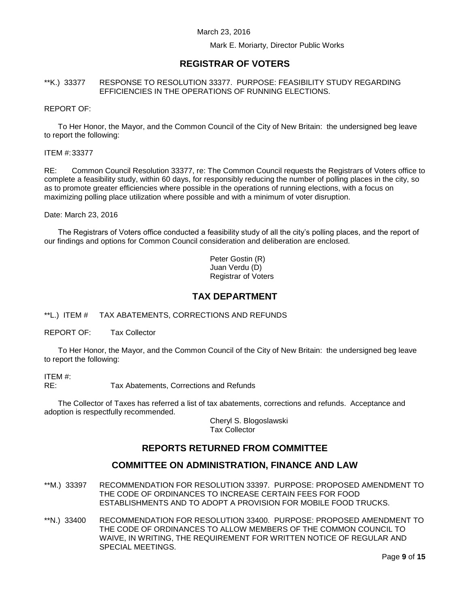Mark E. Moriarty, Director Public Works

## **REGISTRAR OF VOTERS**

#### <span id="page-8-0"></span>\*\*K.) 33377 RESPONSE TO RESOLUTION 33377. PURPOSE: FEASIBILITY STUDY REGARDING EFFICIENCIES IN THE OPERATIONS OF RUNNING ELECTIONS.

#### REPORT OF:

To Her Honor, the Mayor, and the Common Council of the City of New Britain: the undersigned beg leave to report the following:

#### ITEM #:33377

RE: Common Council Resolution 33377, re: The Common Council requests the Registrars of Voters office to complete a feasibility study, within 60 days, for responsibly reducing the number of polling places in the city, so as to promote greater efficiencies where possible in the operations of running elections, with a focus on maximizing polling place utilization where possible and with a minimum of voter disruption.

Date: March 23, 2016

The Registrars of Voters office conducted a feasibility study of all the city's polling places, and the report of our findings and options for Common Council consideration and deliberation are enclosed.

> Peter Gostin (R) Juan Verdu (D) Registrar of Voters

## **TAX DEPARTMENT**

<span id="page-8-1"></span>\*\*L.) ITEM # TAX ABATEMENTS, CORRECTIONS AND REFUNDS

REPORT OF: Tax Collector

To Her Honor, the Mayor, and the Common Council of the City of New Britain: the undersigned beg leave to report the following:

ITEM #:

RE: Tax Abatements, Corrections and Refunds

The Collector of Taxes has referred a list of tax abatements, corrections and refunds. Acceptance and adoption is respectfully recommended.

> Cheryl S. Blogoslawski Tax Collector

## **REPORTS RETURNED FROM COMMITTEE**

### **COMMITTEE ON ADMINISTRATION, FINANCE AND LAW**

- <span id="page-8-2"></span>\*\*M.) 33397 RECOMMENDATION FOR RESOLUTION 33397. PURPOSE: PROPOSED AMENDMENT TO THE CODE OF ORDINANCES TO INCREASE CERTAIN FEES FOR FOOD ESTABLISHMENTS AND TO ADOPT A PROVISION FOR MOBILE FOOD TRUCKS.
- <span id="page-8-3"></span>\*\*N.) 33400 RECOMMENDATION FOR RESOLUTION 33400. PURPOSE: PROPOSED AMENDMENT TO THE CODE OF ORDINANCES TO ALLOW MEMBERS OF THE COMMON COUNCIL TO WAIVE, IN WRITING, THE REQUIREMENT FOR WRITTEN NOTICE OF REGULAR AND SPECIAL MEETINGS.

Page **9** of **15**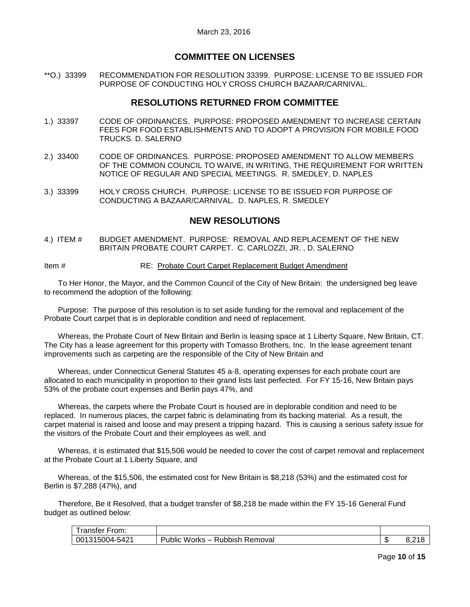## **COMMITTEE ON LICENSES**

<span id="page-9-0"></span>\*\*O.) 33399 RECOMMENDATION FOR RESOLUTION 33399. PURPOSE: LICENSE TO BE ISSUED FOR PURPOSE OF CONDUCTING HOLY CROSS CHURCH BAZAAR/CARNIVAL.

## **RESOLUTIONS RETURNED FROM COMMITTEE**

- <span id="page-9-1"></span>1.) 33397 CODE OF ORDINANCES. PURPOSE: PROPOSED AMENDMENT TO INCREASE CERTAIN FEES FOR FOOD ESTABLISHMENTS AND TO ADOPT A PROVISION FOR MOBILE FOOD TRUCKS. D. SALERNO
- <span id="page-9-2"></span>2.) 33400 CODE OF ORDINANCES. PURPOSE: PROPOSED AMENDMENT TO ALLOW MEMBERS OF THE COMMON COUNCIL TO WAIVE, IN WRITING, THE REQUIREMENT FOR WRITTEN NOTICE OF REGULAR AND SPECIAL MEETINGS. R. SMEDLEY, D. NAPLES
- <span id="page-9-3"></span>3.) 33399 HOLY CROSS CHURCH. PURPOSE: LICENSE TO BE ISSUED FOR PURPOSE OF CONDUCTING A BAZAAR/CARNIVAL. D. NAPLES, R. SMEDLEY

## **NEW RESOLUTIONS**

<span id="page-9-4"></span>4.) ITEM # BUDGET AMENDMENT. PURPOSE: REMOVAL AND REPLACEMENT OF THE NEW BRITAIN PROBATE COURT CARPET. C. CARLOZZI, JR. , D. SALERNO

Item # RE: Probate Court Carpet Replacement Budget Amendment

To Her Honor, the Mayor, and the Common Council of the City of New Britain: the undersigned beg leave to recommend the adoption of the following:

Purpose: The purpose of this resolution is to set aside funding for the removal and replacement of the Probate Court carpet that is in deplorable condition and need of replacement.

Whereas, the Probate Court of New Britain and Berlin is leasing space at 1 Liberty Square, New Britain, CT. The City has a lease agreement for this property with Tomasso Brothers, Inc. In the lease agreement tenant improvements such as carpeting are the responsible of the City of New Britain and

Whereas, under Connecticut General Statutes 45 a-8, operating expenses for each probate court are allocated to each municipality in proportion to their grand lists last perfected. For FY 15-16, New Britain pays 53% of the probate court expenses and Berlin pays 47%, and

Whereas, the carpets where the Probate Court is housed are in deplorable condition and need to be replaced. In numerous places, the carpet fabric is delaminating from its backing material. As a result, the carpet material is raised and loose and may present a tripping hazard. This is causing a serious safety issue for the visitors of the Probate Court and their employees as well, and

Whereas, it is estimated that \$15,506 would be needed to cover the cost of carpet removal and replacement at the Probate Court at 1 Liberty Square, and

Whereas, of the \$15,506, the estimated cost for New Britain is \$8,218 (53%) and the estimated cost for Berlin is \$7,288 (47%), and

Therefore, Be it Resolved, that a budget transfer of \$8,218 be made within the FY 15-16 General Fund budget as outlined below:

| ∙rom:<br>ranster    |                                                            |         |     |
|---------------------|------------------------------------------------------------|---------|-----|
| 315004-5421<br>-001 | <b>Rubbish</b><br>-<br>Works –<br>Removal<br><b>Jublic</b> | ́<br>۰D | ◡.← |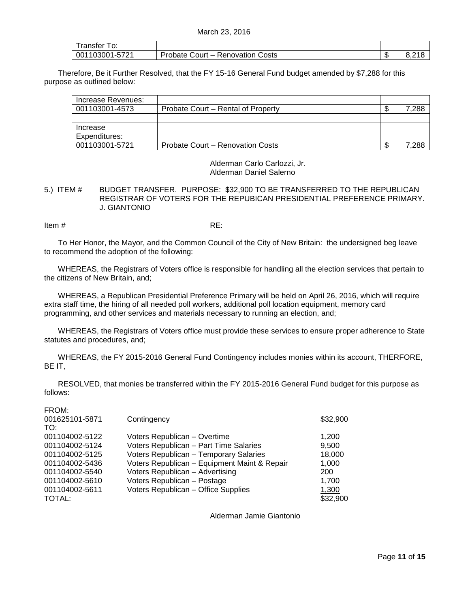| Franster To:   |                                  |  |
|----------------|----------------------------------|--|
| 001103001-5721 | Probate Court – Renovation Costs |  |

Therefore, Be it Further Resolved, that the FY 15-16 General Fund budget amended by \$7,288 for this purpose as outlined below:

| Increase Revenues: |                                    |       |
|--------------------|------------------------------------|-------|
| 001103001-4573     | Probate Court – Rental of Property | 7,288 |
|                    |                                    |       |
| Increase           |                                    |       |
| Expenditures:      |                                    |       |
| 001103001-5721     | Probate Court – Renovation Costs   | 7.288 |

Alderman Carlo Carlozzi, Jr. Alderman Daniel Salerno

<span id="page-10-0"></span>5.) ITEM # BUDGET TRANSFER. PURPOSE: \$32,900 TO BE TRANSFERRED TO THE REPUBLICAN REGISTRAR OF VOTERS FOR THE REPUBICAN PRESIDENTIAL PREFERENCE PRIMARY. J. GIANTONIO

Item  $\#$  RE:

To Her Honor, the Mayor, and the Common Council of the City of New Britain: the undersigned beg leave to recommend the adoption of the following:

WHEREAS, the Registrars of Voters office is responsible for handling all the election services that pertain to the citizens of New Britain, and;

WHEREAS, a Republican Presidential Preference Primary will be held on April 26, 2016, which will require extra staff time, the hiring of all needed poll workers, additional poll location equipment, memory card programming, and other services and materials necessary to running an election, and;

WHEREAS, the Registrars of Voters office must provide these services to ensure proper adherence to State statutes and procedures, and;

WHEREAS, the FY 2015-2016 General Fund Contingency includes monies within its account, THERFORE, BE IT,

RESOLVED, that monies be transferred within the FY 2015-2016 General Fund budget for this purpose as follows:

| ł |  |
|---|--|

| 001625101-5871 | Contingency                                  | \$32,900 |
|----------------|----------------------------------------------|----------|
| TO:            |                                              |          |
| 001104002-5122 | Voters Republican - Overtime                 | 1.200    |
| 001104002-5124 | Voters Republican - Part Time Salaries       | 9,500    |
| 001104002-5125 | Voters Republican - Temporary Salaries       | 18,000   |
| 001104002-5436 | Voters Republican - Equipment Maint & Repair | 1.000    |
| 001104002-5540 | Voters Republican - Advertising              | 200      |
| 001104002-5610 | Voters Republican - Postage                  | 1.700    |
| 001104002-5611 | Voters Republican - Office Supplies          | 1,300    |
| TOTAL:         |                                              | \$32,900 |

Alderman Jamie Giantonio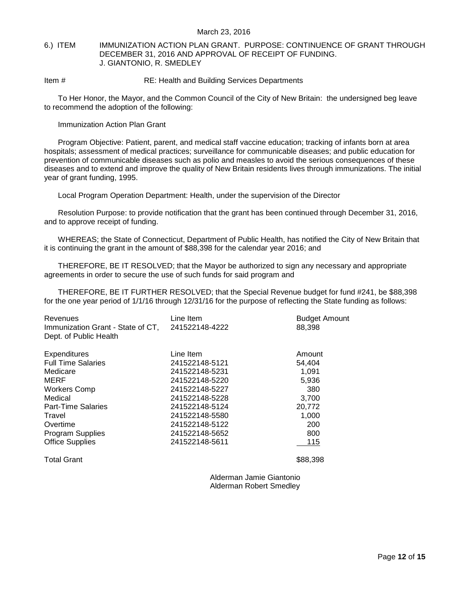#### <span id="page-11-0"></span>6.) ITEM IMMUNIZATION ACTION PLAN GRANT. PURPOSE: CONTINUENCE OF GRANT THROUGH DECEMBER 31, 2016 AND APPROVAL OF RECEIPT OF FUNDING. J. GIANTONIO, R. SMEDLEY

Item # RE: Health and Building Services Departments

To Her Honor, the Mayor, and the Common Council of the City of New Britain: the undersigned beg leave to recommend the adoption of the following:

Immunization Action Plan Grant

Program Objective: Patient, parent, and medical staff vaccine education; tracking of infants born at area hospitals; assessment of medical practices; surveillance for communicable diseases; and public education for prevention of communicable diseases such as polio and measles to avoid the serious consequences of these diseases and to extend and improve the quality of New Britain residents lives through immunizations. The initial year of grant funding, 1995.

Local Program Operation Department: Health, under the supervision of the Director

Resolution Purpose: to provide notification that the grant has been continued through December 31, 2016, and to approve receipt of funding.

WHEREAS; the State of Connecticut, Department of Public Health, has notified the City of New Britain that it is continuing the grant in the amount of \$88,398 for the calendar year 2016; and

THEREFORE, BE IT RESOLVED; that the Mayor be authorized to sign any necessary and appropriate agreements in order to secure the use of such funds for said program and

THEREFORE, BE IT FURTHER RESOLVED; that the Special Revenue budget for fund #241, be \$88,398 for the one year period of 1/1/16 through 12/31/16 for the purpose of reflecting the State funding as follows:

| Line Item      | <b>Budget Amount</b><br>88,398                   |
|----------------|--------------------------------------------------|
| Line Item      | Amount                                           |
| 241522148-5121 | 54.404                                           |
| 241522148-5231 | 1,091                                            |
| 241522148-5220 | 5,936                                            |
| 241522148-5227 | 380                                              |
| 241522148-5228 | 3.700                                            |
| 241522148-5124 | 20,772                                           |
| 241522148-5580 | 1,000                                            |
| 241522148-5122 | 200                                              |
| 241522148-5652 | 800                                              |
| 241522148-5611 | 115                                              |
|                | Immunization Grant - State of CT, 241522148-4222 |

Total Grant

\$88,398

Alderman Jamie Giantonio Alderman Robert Smedley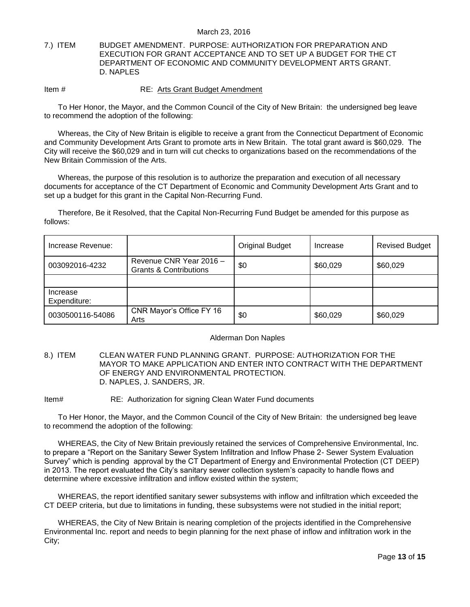#### <span id="page-12-0"></span>7.) ITEM BUDGET AMENDMENT. PURPOSE: AUTHORIZATION FOR PREPARATION AND EXECUTION FOR GRANT ACCEPTANCE AND TO SET UP A BUDGET FOR THE CT DEPARTMENT OF ECONOMIC AND COMMUNITY DEVELOPMENT ARTS GRANT. D. NAPLES

#### Item # RE: Arts Grant Budget Amendment

To Her Honor, the Mayor, and the Common Council of the City of New Britain: the undersigned beg leave to recommend the adoption of the following:

Whereas, the City of New Britain is eligible to receive a grant from the Connecticut Department of Economic and Community Development Arts Grant to promote arts in New Britain. The total grant award is \$60,029. The City will receive the \$60,029 and in turn will cut checks to organizations based on the recommendations of the New Britain Commission of the Arts.

Whereas, the purpose of this resolution is to authorize the preparation and execution of all necessary documents for acceptance of the CT Department of Economic and Community Development Arts Grant and to set up a budget for this grant in the Capital Non-Recurring Fund.

Therefore, Be it Resolved, that the Capital Non-Recurring Fund Budget be amended for this purpose as follows:

| Increase Revenue:        |                                                              | <b>Original Budget</b> | Increase | <b>Revised Budget</b> |
|--------------------------|--------------------------------------------------------------|------------------------|----------|-----------------------|
| 003092016-4232           | Revenue CNR Year 2016 -<br><b>Grants &amp; Contributions</b> | \$0                    | \$60,029 | \$60,029              |
|                          |                                                              |                        |          |                       |
| Increase<br>Expenditure: |                                                              |                        |          |                       |
| 0030500116-54086         | CNR Mayor's Office FY 16<br>Arts                             | \$0                    | \$60,029 | \$60,029              |

#### Alderman Don Naples

<span id="page-12-1"></span>8.) ITEM CLEAN WATER FUND PLANNING GRANT. PURPOSE: AUTHORIZATION FOR THE MAYOR TO MAKE APPLICATION AND ENTER INTO CONTRACT WITH THE DEPARTMENT OF ENERGY AND ENVIRONMENTAL PROTECTION. D. NAPLES, J. SANDERS, JR.

Item# RE: Authorization for signing Clean Water Fund documents

To Her Honor, the Mayor, and the Common Council of the City of New Britain: the undersigned beg leave to recommend the adoption of the following:

WHEREAS, the City of New Britain previously retained the services of Comprehensive Environmental, Inc. to prepare a "Report on the Sanitary Sewer System Infiltration and Inflow Phase 2- Sewer System Evaluation Survey" which is pending approval by the CT Department of Energy and Environmental Protection (CT DEEP) in 2013. The report evaluated the City's sanitary sewer collection system's capacity to handle flows and determine where excessive infiltration and inflow existed within the system;

WHEREAS, the report identified sanitary sewer subsystems with inflow and infiltration which exceeded the CT DEEP criteria, but due to limitations in funding, these subsystems were not studied in the initial report;

WHEREAS, the City of New Britain is nearing completion of the projects identified in the Comprehensive Environmental Inc. report and needs to begin planning for the next phase of inflow and infiltration work in the City;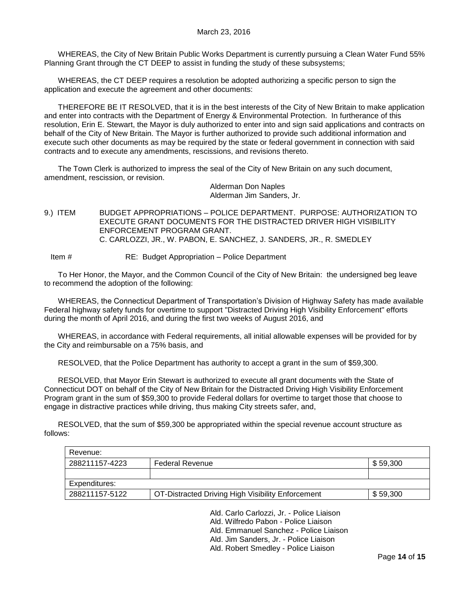WHEREAS, the City of New Britain Public Works Department is currently pursuing a Clean Water Fund 55% Planning Grant through the CT DEEP to assist in funding the study of these subsystems;

WHEREAS, the CT DEEP requires a resolution be adopted authorizing a specific person to sign the application and execute the agreement and other documents:

THEREFORE BE IT RESOLVED, that it is in the best interests of the City of New Britain to make application and enter into contracts with the Department of Energy & Environmental Protection. In furtherance of this resolution, Erin E. Stewart, the Mayor is duly authorized to enter into and sign said applications and contracts on behalf of the City of New Britain. The Mayor is further authorized to provide such additional information and execute such other documents as may be required by the state or federal government in connection with said contracts and to execute any amendments, rescissions, and revisions thereto.

The Town Clerk is authorized to impress the seal of the City of New Britain on any such document, amendment, rescission, or revision.

> Alderman Don Naples Alderman Jim Sanders, Jr.

<span id="page-13-0"></span>9.) ITEM BUDGET APPROPRIATIONS – POLICE DEPARTMENT. PURPOSE: AUTHORIZATION TO EXECUTE GRANT DOCUMENTS FOR THE DISTRACTED DRIVER HIGH VISIBILITY ENFORCEMENT PROGRAM GRANT. C. CARLOZZI, JR., W. PABON, E. SANCHEZ, J. SANDERS, JR., R. SMEDLEY

Item # RE: Budget Appropriation – Police Department

To Her Honor, the Mayor, and the Common Council of the City of New Britain: the undersigned beg leave to recommend the adoption of the following:

WHEREAS, the Connecticut Department of Transportation's Division of Highway Safety has made available Federal highway safety funds for overtime to support "Distracted Driving High Visibility Enforcement" efforts during the month of April 2016, and during the first two weeks of August 2016, and

WHEREAS, in accordance with Federal requirements, all initial allowable expenses will be provided for by the City and reimbursable on a 75% basis, and

RESOLVED, that the Police Department has authority to accept a grant in the sum of \$59,300.

RESOLVED, that Mayor Erin Stewart is authorized to execute all grant documents with the State of Connecticut DOT on behalf of the City of New Britain for the Distracted Driving High Visibility Enforcement Program grant in the sum of \$59,300 to provide Federal dollars for overtime to target those that choose to engage in distractive practices while driving, thus making City streets safer, and,

RESOLVED, that the sum of \$59,300 be appropriated within the special revenue account structure as follows:

| Revenue:       |                                                   |          |
|----------------|---------------------------------------------------|----------|
| 288211157-4223 | <b>Federal Revenue</b>                            | \$59,300 |
|                |                                                   |          |
| Expenditures:  |                                                   |          |
| 288211157-5122 | OT-Distracted Driving High Visibility Enforcement | \$59,300 |

Ald. Carlo Carlozzi, Jr. - Police Liaison

Ald. Wilfredo Pabon - Police Liaison

Ald. Emmanuel Sanchez - Police Liaison

Ald. Jim Sanders, Jr. - Police Liaison

Ald. Robert Smedley - Police Liaison